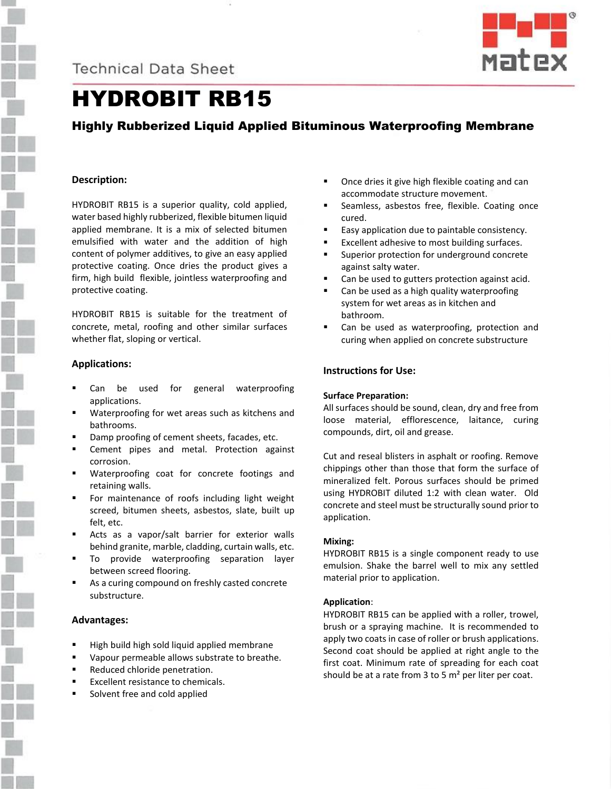



# HYDROBIT RB15

# Highly Rubberized Liquid Applied Bituminous Waterproofing Membrane

## **Description:**

HYDROBIT RB15 is a superior quality, cold applied, water based highly rubberized, flexible bitumen liquid applied membrane. It is a mix of selected bitumen emulsified with water and the addition of high content of polymer additives, to give an easy applied protective coating. Once dries the product gives a firm, high build flexible, jointless waterproofing and protective coating.

HYDROBIT RB15 is suitable for the treatment of concrete, metal, roofing and other similar surfaces whether flat, sloping or vertical.

### **Applications:**

- Can be used for general waterproofing applications.
- Waterproofing for wet areas such as kitchens and bathrooms.
- Damp proofing of cement sheets, facades, etc.
- Cement pipes and metal. Protection against corrosion.
- Waterproofing coat for concrete footings and retaining walls.
- For maintenance of roofs including light weight screed, bitumen sheets, asbestos, slate, built up felt, etc.
- Acts as a vapor/salt barrier for exterior walls behind granite, marble, cladding, curtain walls, etc.
- To provide waterproofing separation layer between screed flooring.
- As a curing compound on freshly casted concrete substructure.

### **Advantages:**

- High build high sold liquid applied membrane
- Vapour permeable allows substrate to breathe.
- Reduced chloride penetration.
- Excellent resistance to chemicals.
- Solvent free and cold applied
- Once dries it give high flexible coating and can accommodate structure movement.
- Seamless, asbestos free, flexible. Coating once cured.
- Easy application due to paintable consistency.
- Excellent adhesive to most building surfaces.
- Superior protection for underground concrete against salty water.
- Can be used to gutters protection against acid.
- Can be used as a high quality waterproofing system for wet areas as in kitchen and bathroom.
- Can be used as waterproofing, protection and curing when applied on concrete substructure

# **Instructions for Use:**

# **Surface Preparation:**

All surfaces should be sound, clean, dry and free from loose material, efflorescence, laitance, curing compounds, dirt, oil and grease.

Cut and reseal blisters in asphalt or roofing. Remove chippings other than those that form the surface of mineralized felt. Porous surfaces should be primed using HYDROBIT diluted 1:2 with clean water. Old concrete and steel must be structurally sound prior to application.

# **Mixing:**

HYDROBIT RB15 is a single component ready to use emulsion. Shake the barrel well to mix any settled material prior to application.

# **Application**:

HYDROBIT RB15 can be applied with a roller, trowel, brush or a spraying machine. It is recommended to apply two coats in case of roller or brush applications. Second coat should be applied at right angle to the first coat. Minimum rate of spreading for each coat should be at a rate from 3 to 5  $m<sup>2</sup>$  per liter per coat.